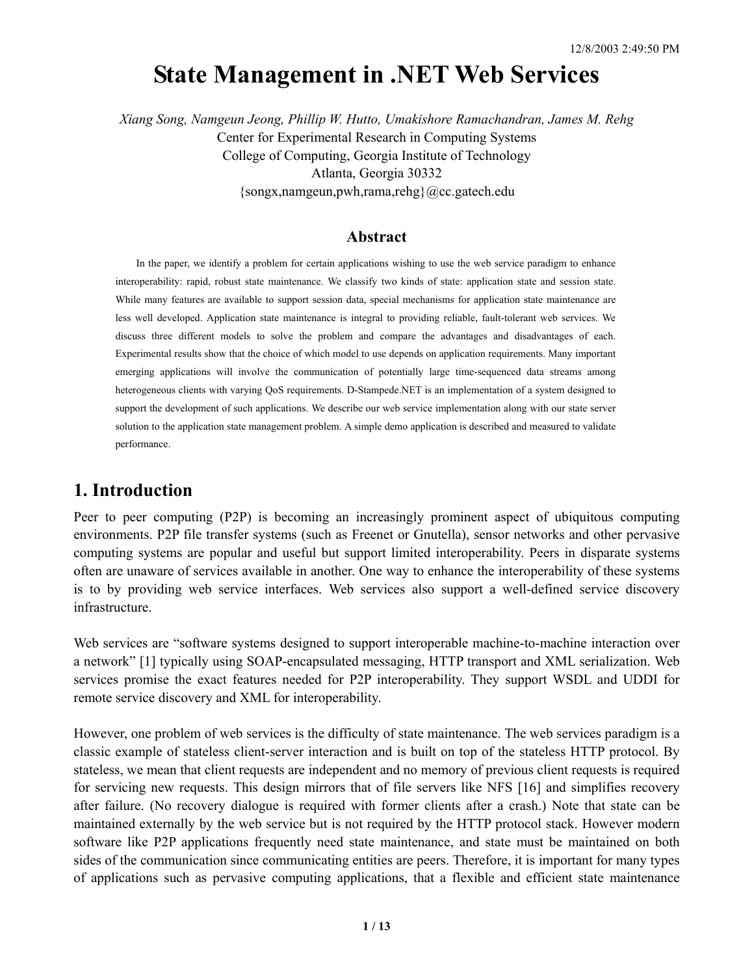# **State Management in .NET Web Services**

*Xiang Song, Namgeun Jeong, Phillip W. Hutto, Umakishore Ramachandran, James M. Rehg*  Center for Experimental Research in Computing Systems College of Computing, Georgia Institute of Technology Atlanta, Georgia 30332 {songx,namgeun,pwh,rama,rehg}@cc.gatech.edu

#### **Abstract**

In the paper, we identify a problem for certain applications wishing to use the web service paradigm to enhance interoperability: rapid, robust state maintenance. We classify two kinds of state: application state and session state. While many features are available to support session data, special mechanisms for application state maintenance are less well developed. Application state maintenance is integral to providing reliable, fault-tolerant web services. We discuss three different models to solve the problem and compare the advantages and disadvantages of each. Experimental results show that the choice of which model to use depends on application requirements. Many important emerging applications will involve the communication of potentially large time-sequenced data streams among heterogeneous clients with varying QoS requirements. D-Stampede.NET is an implementation of a system designed to support the development of such applications. We describe our web service implementation along with our state server solution to the application state management problem. A simple demo application is described and measured to validate performance.

## **1. Introduction**

Peer to peer computing (P2P) is becoming an increasingly prominent aspect of ubiquitous computing environments. P2P file transfer systems (such as Freenet or Gnutella), sensor networks and other pervasive computing systems are popular and useful but support limited interoperability. Peers in disparate systems often are unaware of services available in another. One way to enhance the interoperability of these systems is to by providing web service interfaces. Web services also support a well-defined service discovery infrastructure.

Web services are "software systems designed to support interoperable machine-to-machine interaction over a network" [1] typically using SOAP-encapsulated messaging, HTTP transport and XML serialization. Web services promise the exact features needed for P2P interoperability. They support WSDL and UDDI for remote service discovery and XML for interoperability.

However, one problem of web services is the difficulty of state maintenance. The web services paradigm is a classic example of stateless client-server interaction and is built on top of the stateless HTTP protocol. By stateless, we mean that client requests are independent and no memory of previous client requests is required for servicing new requests. This design mirrors that of file servers like NFS [16] and simplifies recovery after failure. (No recovery dialogue is required with former clients after a crash.) Note that state can be maintained externally by the web service but is not required by the HTTP protocol stack. However modern software like P2P applications frequently need state maintenance, and state must be maintained on both sides of the communication since communicating entities are peers. Therefore, it is important for many types of applications such as pervasive computing applications, that a flexible and efficient state maintenance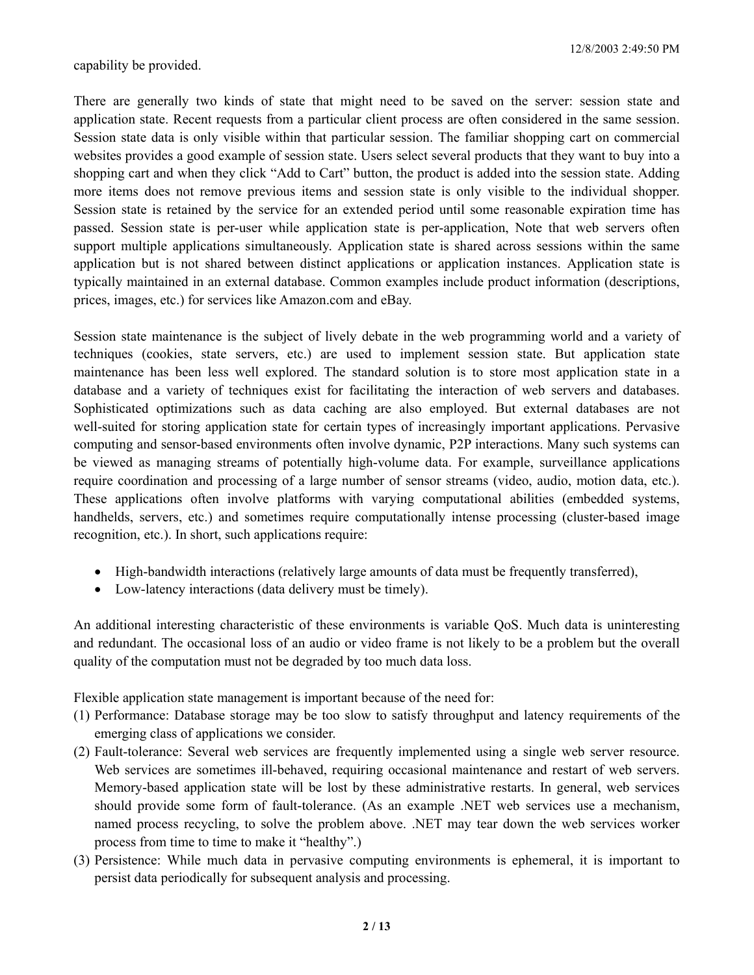capability be provided.

There are generally two kinds of state that might need to be saved on the server: session state and application state. Recent requests from a particular client process are often considered in the same session. Session state data is only visible within that particular session. The familiar shopping cart on commercial websites provides a good example of session state. Users select several products that they want to buy into a shopping cart and when they click "Add to Cart" button, the product is added into the session state. Adding more items does not remove previous items and session state is only visible to the individual shopper. Session state is retained by the service for an extended period until some reasonable expiration time has passed. Session state is per-user while application state is per-application, Note that web servers often support multiple applications simultaneously. Application state is shared across sessions within the same application but is not shared between distinct applications or application instances. Application state is typically maintained in an external database. Common examples include product information (descriptions, prices, images, etc.) for services like Amazon.com and eBay.

Session state maintenance is the subject of lively debate in the web programming world and a variety of techniques (cookies, state servers, etc.) are used to implement session state. But application state maintenance has been less well explored. The standard solution is to store most application state in a database and a variety of techniques exist for facilitating the interaction of web servers and databases. Sophisticated optimizations such as data caching are also employed. But external databases are not well-suited for storing application state for certain types of increasingly important applications. Pervasive computing and sensor-based environments often involve dynamic, P2P interactions. Many such systems can be viewed as managing streams of potentially high-volume data. For example, surveillance applications require coordination and processing of a large number of sensor streams (video, audio, motion data, etc.). These applications often involve platforms with varying computational abilities (embedded systems, handhelds, servers, etc.) and sometimes require computationally intense processing (cluster-based image recognition, etc.). In short, such applications require:

- High-bandwidth interactions (relatively large amounts of data must be frequently transferred),
- Low-latency interactions (data delivery must be timely).

An additional interesting characteristic of these environments is variable QoS. Much data is uninteresting and redundant. The occasional loss of an audio or video frame is not likely to be a problem but the overall quality of the computation must not be degraded by too much data loss.

Flexible application state management is important because of the need for:

- (1) Performance: Database storage may be too slow to satisfy throughput and latency requirements of the emerging class of applications we consider.
- (2) Fault-tolerance: Several web services are frequently implemented using a single web server resource. Web services are sometimes ill-behaved, requiring occasional maintenance and restart of web servers. Memory-based application state will be lost by these administrative restarts. In general, web services should provide some form of fault-tolerance. (As an example .NET web services use a mechanism, named process recycling, to solve the problem above. .NET may tear down the web services worker process from time to time to make it "healthy".)
- (3) Persistence: While much data in pervasive computing environments is ephemeral, it is important to persist data periodically for subsequent analysis and processing.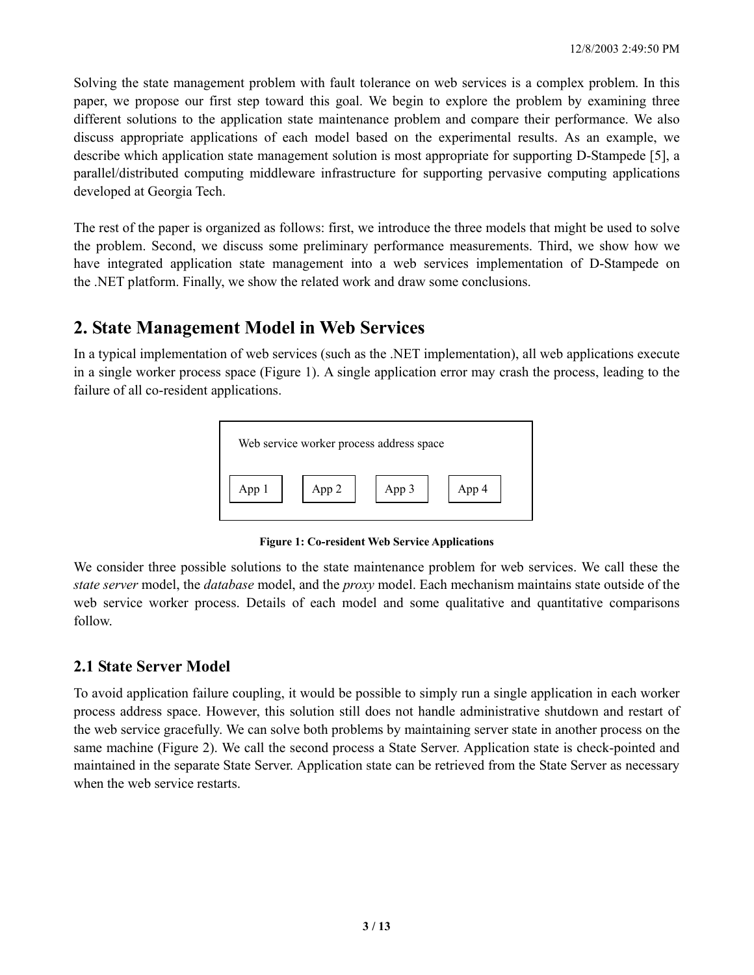Solving the state management problem with fault tolerance on web services is a complex problem. In this paper, we propose our first step toward this goal. We begin to explore the problem by examining three different solutions to the application state maintenance problem and compare their performance. We also discuss appropriate applications of each model based on the experimental results. As an example, we describe which application state management solution is most appropriate for supporting D-Stampede [5], a parallel/distributed computing middleware infrastructure for supporting pervasive computing applications developed at Georgia Tech.

The rest of the paper is organized as follows: first, we introduce the three models that might be used to solve the problem. Second, we discuss some preliminary performance measurements. Third, we show how we have integrated application state management into a web services implementation of D-Stampede on the .NET platform. Finally, we show the related work and draw some conclusions.

# **2. State Management Model in Web Services**

In a typical implementation of web services (such as the .NET implementation), all web applications execute in a single worker process space (Figure 1). A single application error may crash the process, leading to the failure of all co-resident applications.



**Figure 1: Co-resident Web Service Applications** 

We consider three possible solutions to the state maintenance problem for web services. We call these the *state server* model, the *database* model, and the *proxy* model. Each mechanism maintains state outside of the web service worker process. Details of each model and some qualitative and quantitative comparisons follow.

### **2.1 State Server Model**

To avoid application failure coupling, it would be possible to simply run a single application in each worker process address space. However, this solution still does not handle administrative shutdown and restart of the web service gracefully. We can solve both problems by maintaining server state in another process on the same machine (Figure 2). We call the second process a State Server. Application state is check-pointed and maintained in the separate State Server. Application state can be retrieved from the State Server as necessary when the web service restarts.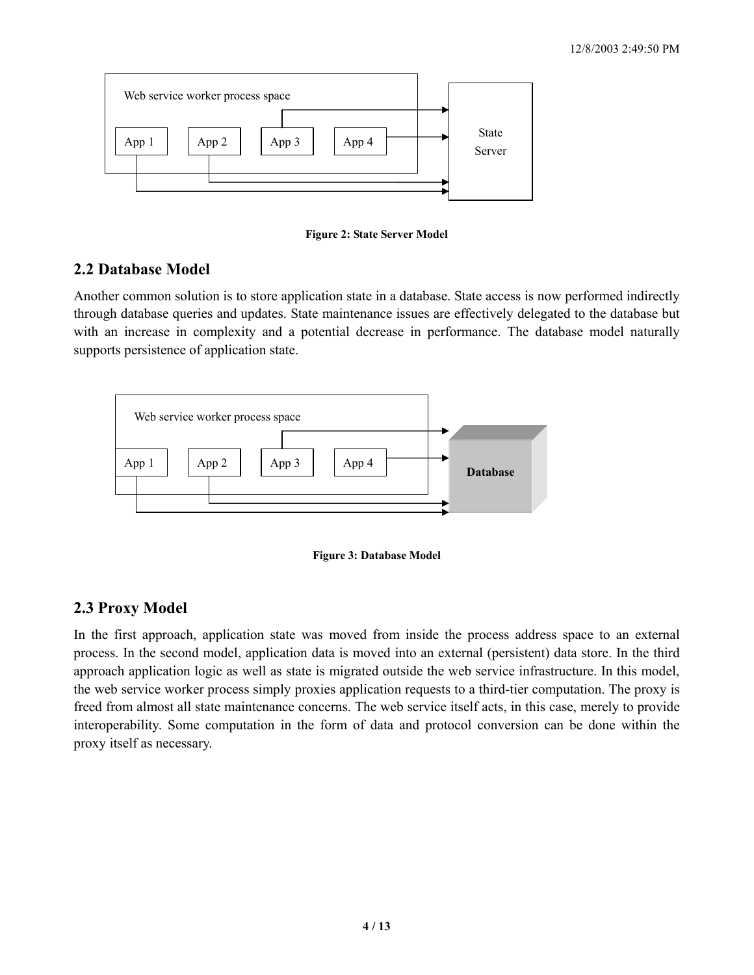

**Figure 2: State Server Model**

### **2.2 Database Model**

Another common solution is to store application state in a database. State access is now performed indirectly through database queries and updates. State maintenance issues are effectively delegated to the database but with an increase in complexity and a potential decrease in performance. The database model naturally supports persistence of application state.





# **2.3 Proxy Model**

In the first approach, application state was moved from inside the process address space to an external process. In the second model, application data is moved into an external (persistent) data store. In the third approach application logic as well as state is migrated outside the web service infrastructure. In this model, the web service worker process simply proxies application requests to a third-tier computation. The proxy is freed from almost all state maintenance concerns. The web service itself acts, in this case, merely to provide interoperability. Some computation in the form of data and protocol conversion can be done within the proxy itself as necessary.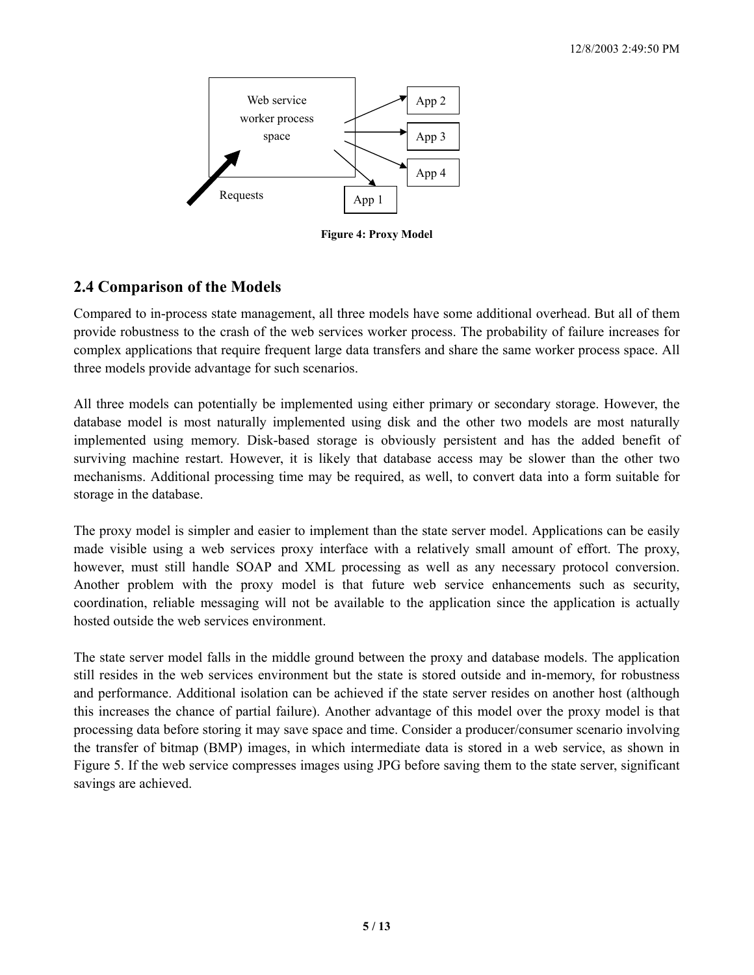

**Figure 4: Proxy Model**

### **2.4 Comparison of the Models**

Compared to in-process state management, all three models have some additional overhead. But all of them provide robustness to the crash of the web services worker process. The probability of failure increases for complex applications that require frequent large data transfers and share the same worker process space. All three models provide advantage for such scenarios.

All three models can potentially be implemented using either primary or secondary storage. However, the database model is most naturally implemented using disk and the other two models are most naturally implemented using memory. Disk-based storage is obviously persistent and has the added benefit of surviving machine restart. However, it is likely that database access may be slower than the other two mechanisms. Additional processing time may be required, as well, to convert data into a form suitable for storage in the database.

The proxy model is simpler and easier to implement than the state server model. Applications can be easily made visible using a web services proxy interface with a relatively small amount of effort. The proxy, however, must still handle SOAP and XML processing as well as any necessary protocol conversion. Another problem with the proxy model is that future web service enhancements such as security, coordination, reliable messaging will not be available to the application since the application is actually hosted outside the web services environment.

The state server model falls in the middle ground between the proxy and database models. The application still resides in the web services environment but the state is stored outside and in-memory, for robustness and performance. Additional isolation can be achieved if the state server resides on another host (although this increases the chance of partial failure). Another advantage of this model over the proxy model is that processing data before storing it may save space and time. Consider a producer/consumer scenario involving the transfer of bitmap (BMP) images, in which intermediate data is stored in a web service, as shown in Figure 5. If the web service compresses images using JPG before saving them to the state server, significant savings are achieved.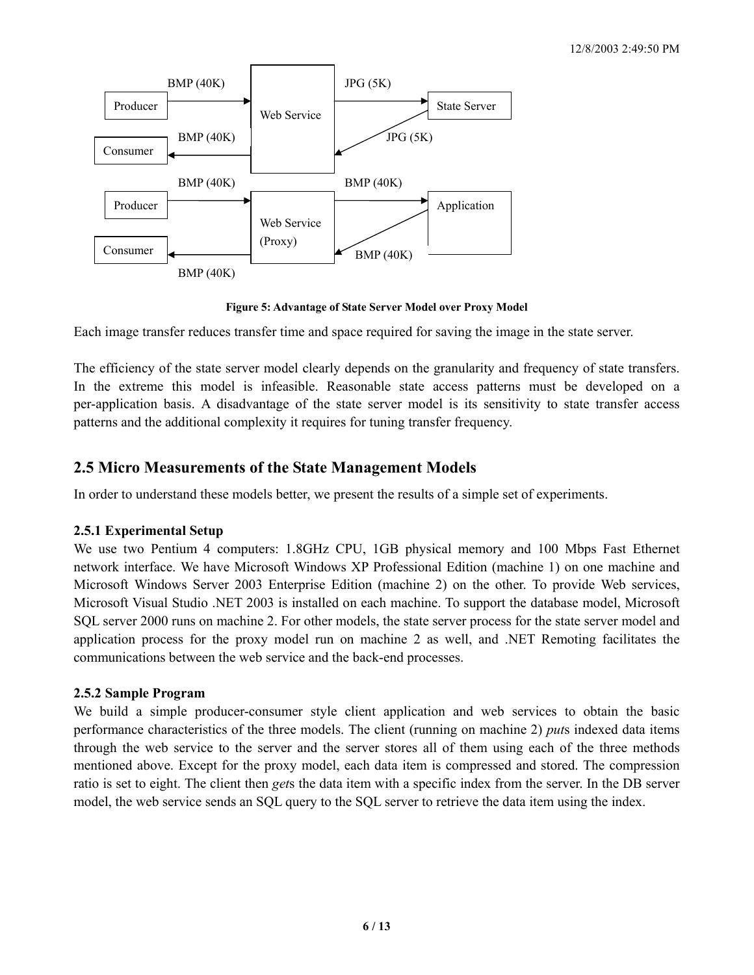

**Figure 5: Advantage of State Server Model over Proxy Model**

Each image transfer reduces transfer time and space required for saving the image in the state server.

The efficiency of the state server model clearly depends on the granularity and frequency of state transfers. In the extreme this model is infeasible. Reasonable state access patterns must be developed on a per-application basis. A disadvantage of the state server model is its sensitivity to state transfer access patterns and the additional complexity it requires for tuning transfer frequency.

### **2.5 Micro Measurements of the State Management Models**

In order to understand these models better, we present the results of a simple set of experiments.

#### **2.5.1 Experimental Setup**

We use two Pentium 4 computers: 1.8GHz CPU, 1GB physical memory and 100 Mbps Fast Ethernet network interface. We have Microsoft Windows XP Professional Edition (machine 1) on one machine and Microsoft Windows Server 2003 Enterprise Edition (machine 2) on the other. To provide Web services, Microsoft Visual Studio .NET 2003 is installed on each machine. To support the database model, Microsoft SQL server 2000 runs on machine 2. For other models, the state server process for the state server model and application process for the proxy model run on machine 2 as well, and .NET Remoting facilitates the communications between the web service and the back-end processes.

### **2.5.2 Sample Program**

We build a simple producer-consumer style client application and web services to obtain the basic performance characteristics of the three models. The client (running on machine 2) *put*s indexed data items through the web service to the server and the server stores all of them using each of the three methods mentioned above. Except for the proxy model, each data item is compressed and stored. The compression ratio is set to eight. The client then *get*s the data item with a specific index from the server. In the DB server model, the web service sends an SQL query to the SQL server to retrieve the data item using the index.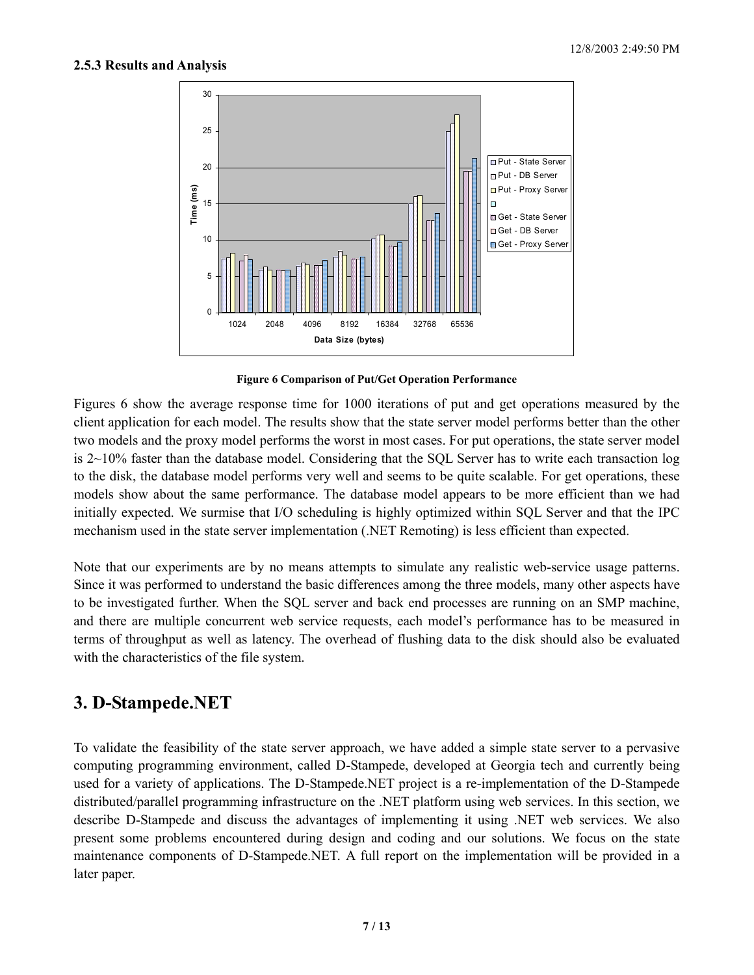#### **2.5.3 Results and Analysis**



**Figure 6 Comparison of Put/Get Operation Performance**

Figures 6 show the average response time for 1000 iterations of put and get operations measured by the client application for each model. The results show that the state server model performs better than the other two models and the proxy model performs the worst in most cases. For put operations, the state server model is 2~10% faster than the database model. Considering that the SQL Server has to write each transaction log to the disk, the database model performs very well and seems to be quite scalable. For get operations, these models show about the same performance. The database model appears to be more efficient than we had initially expected. We surmise that I/O scheduling is highly optimized within SQL Server and that the IPC mechanism used in the state server implementation (.NET Remoting) is less efficient than expected.

Note that our experiments are by no means attempts to simulate any realistic web-service usage patterns. Since it was performed to understand the basic differences among the three models, many other aspects have to be investigated further. When the SQL server and back end processes are running on an SMP machine, and there are multiple concurrent web service requests, each model's performance has to be measured in terms of throughput as well as latency. The overhead of flushing data to the disk should also be evaluated with the characteristics of the file system.

# **3. D-Stampede.NET**

To validate the feasibility of the state server approach, we have added a simple state server to a pervasive computing programming environment, called D-Stampede, developed at Georgia tech and currently being used for a variety of applications. The D-Stampede.NET project is a re-implementation of the D-Stampede distributed/parallel programming infrastructure on the .NET platform using web services. In this section, we describe D-Stampede and discuss the advantages of implementing it using .NET web services. We also present some problems encountered during design and coding and our solutions. We focus on the state maintenance components of D-Stampede.NET. A full report on the implementation will be provided in a later paper.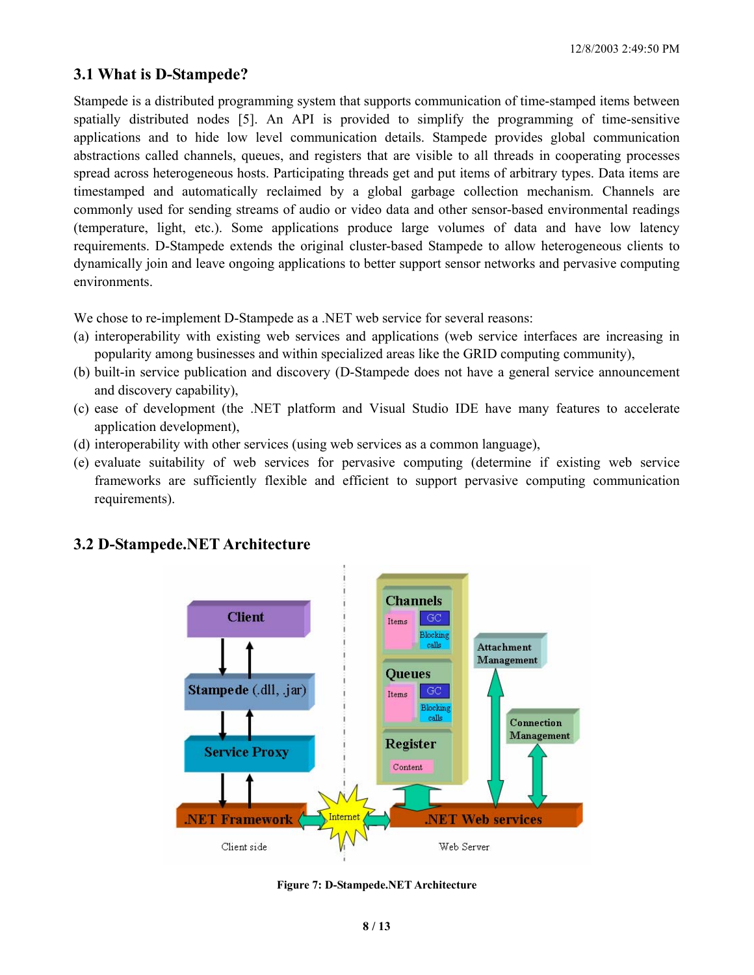### **3.1 What is D-Stampede?**

Stampede is a distributed programming system that supports communication of time-stamped items between spatially distributed nodes [5]. An API is provided to simplify the programming of time-sensitive applications and to hide low level communication details. Stampede provides global communication abstractions called channels, queues, and registers that are visible to all threads in cooperating processes spread across heterogeneous hosts. Participating threads get and put items of arbitrary types. Data items are timestamped and automatically reclaimed by a global garbage collection mechanism. Channels are commonly used for sending streams of audio or video data and other sensor-based environmental readings (temperature, light, etc.). Some applications produce large volumes of data and have low latency requirements. D-Stampede extends the original cluster-based Stampede to allow heterogeneous clients to dynamically join and leave ongoing applications to better support sensor networks and pervasive computing environments.

We chose to re-implement D-Stampede as a .NET web service for several reasons:

- (a) interoperability with existing web services and applications (web service interfaces are increasing in popularity among businesses and within specialized areas like the GRID computing community),
- (b) built-in service publication and discovery (D-Stampede does not have a general service announcement and discovery capability),
- (c) ease of development (the .NET platform and Visual Studio IDE have many features to accelerate application development),
- (d) interoperability with other services (using web services as a common language),
- (e) evaluate suitability of web services for pervasive computing (determine if existing web service frameworks are sufficiently flexible and efficient to support pervasive computing communication requirements).



### **3.2 D-Stampede.NET Architecture**

**Figure 7: D-Stampede.NET Architecture**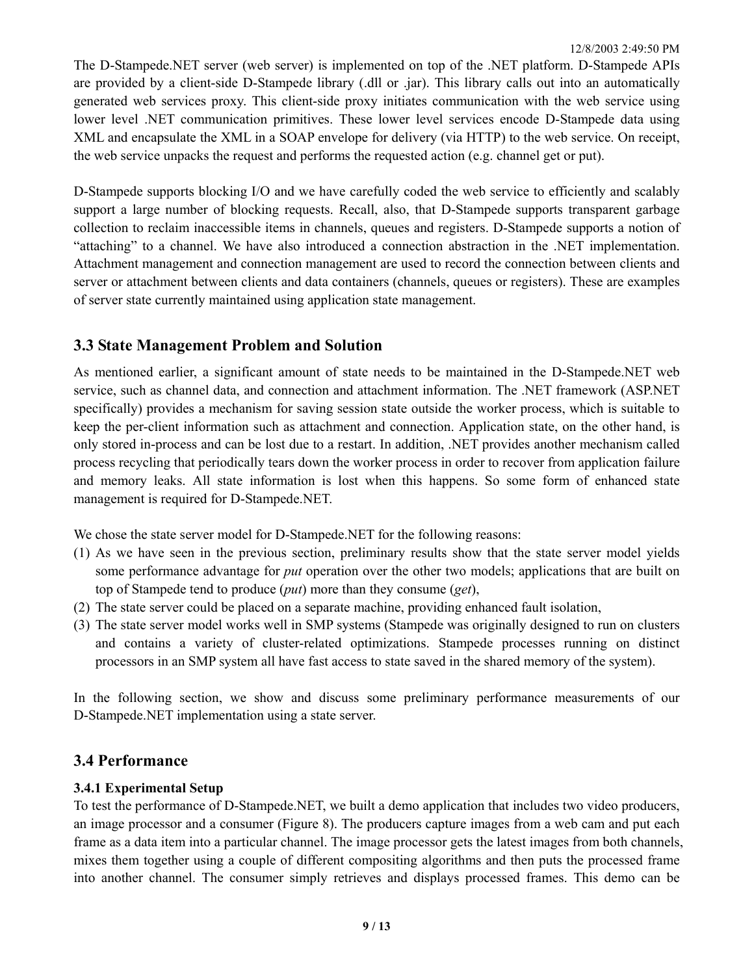The D-Stampede.NET server (web server) is implemented on top of the .NET platform. D-Stampede APIs are provided by a client-side D-Stampede library (.dll or .jar). This library calls out into an automatically generated web services proxy. This client-side proxy initiates communication with the web service using lower level .NET communication primitives. These lower level services encode D-Stampede data using XML and encapsulate the XML in a SOAP envelope for delivery (via HTTP) to the web service. On receipt, the web service unpacks the request and performs the requested action (e.g. channel get or put).

D-Stampede supports blocking I/O and we have carefully coded the web service to efficiently and scalably support a large number of blocking requests. Recall, also, that D-Stampede supports transparent garbage collection to reclaim inaccessible items in channels, queues and registers. D-Stampede supports a notion of "attaching" to a channel. We have also introduced a connection abstraction in the .NET implementation. Attachment management and connection management are used to record the connection between clients and server or attachment between clients and data containers (channels, queues or registers). These are examples of server state currently maintained using application state management.

### **3.3 State Management Problem and Solution**

As mentioned earlier, a significant amount of state needs to be maintained in the D-Stampede.NET web service, such as channel data, and connection and attachment information. The .NET framework (ASP.NET specifically) provides a mechanism for saving session state outside the worker process, which is suitable to keep the per-client information such as attachment and connection. Application state, on the other hand, is only stored in-process and can be lost due to a restart. In addition, .NET provides another mechanism called process recycling that periodically tears down the worker process in order to recover from application failure and memory leaks. All state information is lost when this happens. So some form of enhanced state management is required for D-Stampede.NET.

We chose the state server model for D-Stampede.NET for the following reasons:

- (1) As we have seen in the previous section, preliminary results show that the state server model yields some performance advantage for *put* operation over the other two models; applications that are built on top of Stampede tend to produce (*put*) more than they consume (*get*),
- (2) The state server could be placed on a separate machine, providing enhanced fault isolation,
- (3) The state server model works well in SMP systems (Stampede was originally designed to run on clusters and contains a variety of cluster-related optimizations. Stampede processes running on distinct processors in an SMP system all have fast access to state saved in the shared memory of the system).

In the following section, we show and discuss some preliminary performance measurements of our D-Stampede.NET implementation using a state server.

### **3.4 Performance**

#### **3.4.1 Experimental Setup**

To test the performance of D-Stampede.NET, we built a demo application that includes two video producers, an image processor and a consumer (Figure 8). The producers capture images from a web cam and put each frame as a data item into a particular channel. The image processor gets the latest images from both channels, mixes them together using a couple of different compositing algorithms and then puts the processed frame into another channel. The consumer simply retrieves and displays processed frames. This demo can be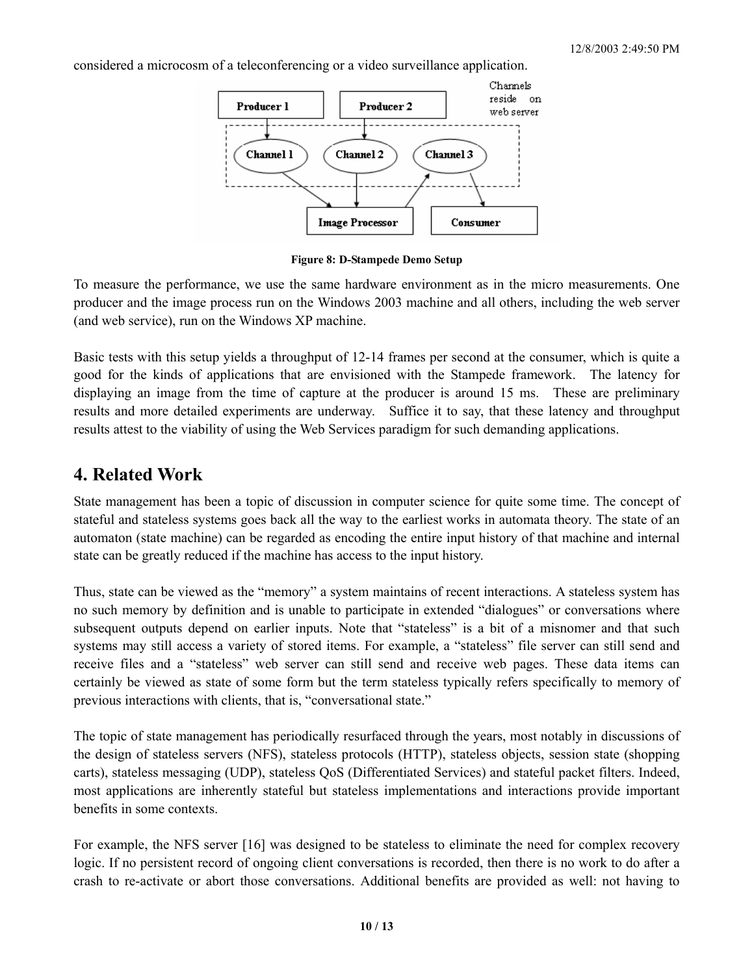considered a microcosm of a teleconferencing or a video surveillance application.



**Figure 8: D-Stampede Demo Setup**

To measure the performance, we use the same hardware environment as in the micro measurements. One producer and the image process run on the Windows 2003 machine and all others, including the web server (and web service), run on the Windows XP machine.

Basic tests with this setup yields a throughput of 12-14 frames per second at the consumer, which is quite a good for the kinds of applications that are envisioned with the Stampede framework. The latency for displaying an image from the time of capture at the producer is around 15 ms. These are preliminary results and more detailed experiments are underway. Suffice it to say, that these latency and throughput results attest to the viability of using the Web Services paradigm for such demanding applications.

# **4. Related Work**

State management has been a topic of discussion in computer science for quite some time. The concept of stateful and stateless systems goes back all the way to the earliest works in automata theory. The state of an automaton (state machine) can be regarded as encoding the entire input history of that machine and internal state can be greatly reduced if the machine has access to the input history.

Thus, state can be viewed as the "memory" a system maintains of recent interactions. A stateless system has no such memory by definition and is unable to participate in extended "dialogues" or conversations where subsequent outputs depend on earlier inputs. Note that "stateless" is a bit of a misnomer and that such systems may still access a variety of stored items. For example, a "stateless" file server can still send and receive files and a "stateless" web server can still send and receive web pages. These data items can certainly be viewed as state of some form but the term stateless typically refers specifically to memory of previous interactions with clients, that is, "conversational state."

The topic of state management has periodically resurfaced through the years, most notably in discussions of the design of stateless servers (NFS), stateless protocols (HTTP), stateless objects, session state (shopping carts), stateless messaging (UDP), stateless QoS (Differentiated Services) and stateful packet filters. Indeed, most applications are inherently stateful but stateless implementations and interactions provide important benefits in some contexts.

For example, the NFS server [16] was designed to be stateless to eliminate the need for complex recovery logic. If no persistent record of ongoing client conversations is recorded, then there is no work to do after a crash to re-activate or abort those conversations. Additional benefits are provided as well: not having to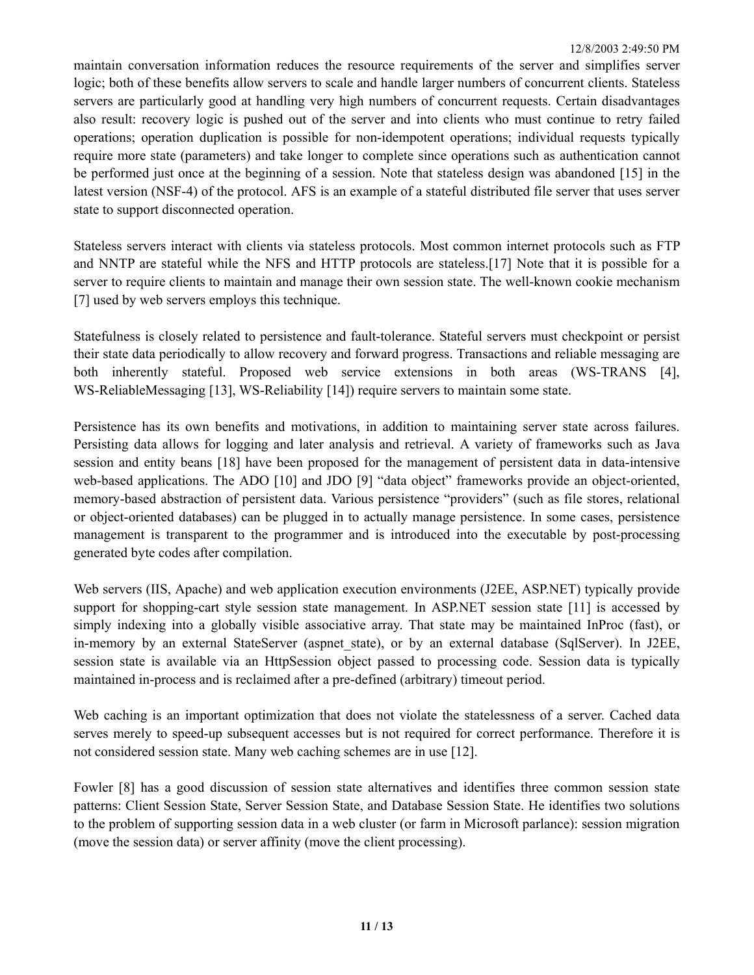maintain conversation information reduces the resource requirements of the server and simplifies server logic; both of these benefits allow servers to scale and handle larger numbers of concurrent clients. Stateless servers are particularly good at handling very high numbers of concurrent requests. Certain disadvantages also result: recovery logic is pushed out of the server and into clients who must continue to retry failed operations; operation duplication is possible for non-idempotent operations; individual requests typically require more state (parameters) and take longer to complete since operations such as authentication cannot be performed just once at the beginning of a session. Note that stateless design was abandoned [15] in the latest version (NSF-4) of the protocol. AFS is an example of a stateful distributed file server that uses server state to support disconnected operation.

Stateless servers interact with clients via stateless protocols. Most common internet protocols such as FTP and NNTP are stateful while the NFS and HTTP protocols are stateless.[17] Note that it is possible for a server to require clients to maintain and manage their own session state. The well-known cookie mechanism [7] used by web servers employs this technique.

Statefulness is closely related to persistence and fault-tolerance. Stateful servers must checkpoint or persist their state data periodically to allow recovery and forward progress. Transactions and reliable messaging are both inherently stateful. Proposed web service extensions in both areas (WS-TRANS [4], WS-ReliableMessaging [13], WS-Reliability [14]) require servers to maintain some state.

Persistence has its own benefits and motivations, in addition to maintaining server state across failures. Persisting data allows for logging and later analysis and retrieval. A variety of frameworks such as Java session and entity beans [18] have been proposed for the management of persistent data in data-intensive web-based applications. The ADO [10] and JDO [9] "data object" frameworks provide an object-oriented, memory-based abstraction of persistent data. Various persistence "providers" (such as file stores, relational or object-oriented databases) can be plugged in to actually manage persistence. In some cases, persistence management is transparent to the programmer and is introduced into the executable by post-processing generated byte codes after compilation.

Web servers (IIS, Apache) and web application execution environments (J2EE, ASP.NET) typically provide support for shopping-cart style session state management. In ASP.NET session state [11] is accessed by simply indexing into a globally visible associative array. That state may be maintained InProc (fast), or in-memory by an external StateServer (aspnet state), or by an external database (SqlServer). In J2EE, session state is available via an HttpSession object passed to processing code. Session data is typically maintained in-process and is reclaimed after a pre-defined (arbitrary) timeout period.

Web caching is an important optimization that does not violate the statelessness of a server. Cached data serves merely to speed-up subsequent accesses but is not required for correct performance. Therefore it is not considered session state. Many web caching schemes are in use [12].

Fowler [8] has a good discussion of session state alternatives and identifies three common session state patterns: Client Session State, Server Session State, and Database Session State. He identifies two solutions to the problem of supporting session data in a web cluster (or farm in Microsoft parlance): session migration (move the session data) or server affinity (move the client processing).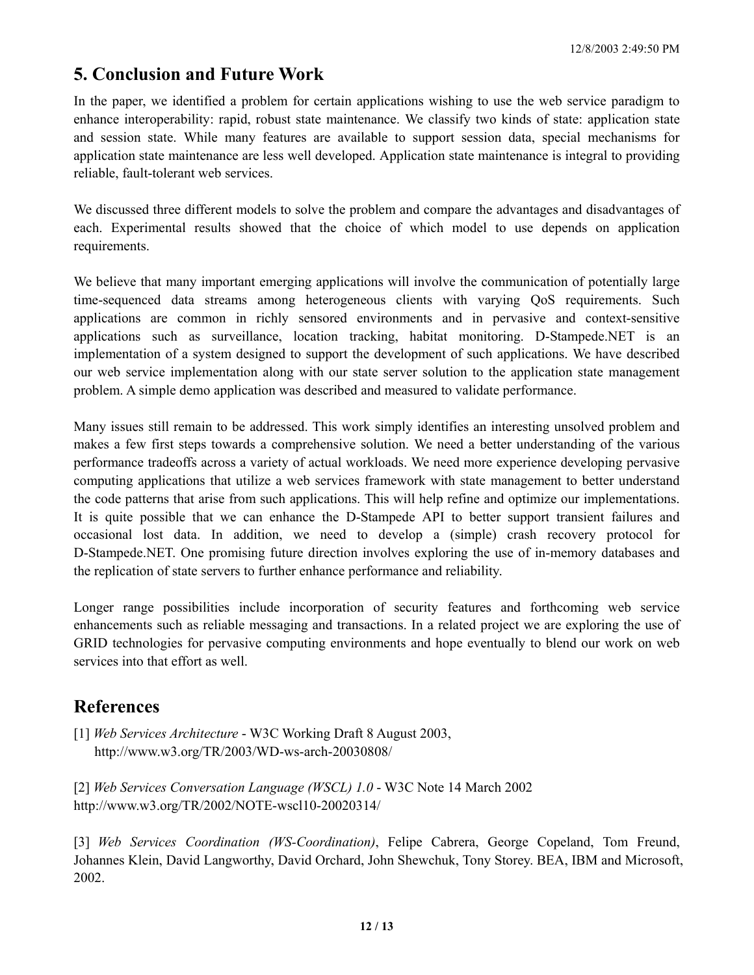# **5. Conclusion and Future Work**

In the paper, we identified a problem for certain applications wishing to use the web service paradigm to enhance interoperability: rapid, robust state maintenance. We classify two kinds of state: application state and session state. While many features are available to support session data, special mechanisms for application state maintenance are less well developed. Application state maintenance is integral to providing reliable, fault-tolerant web services.

We discussed three different models to solve the problem and compare the advantages and disadvantages of each. Experimental results showed that the choice of which model to use depends on application requirements.

We believe that many important emerging applications will involve the communication of potentially large time-sequenced data streams among heterogeneous clients with varying QoS requirements. Such applications are common in richly sensored environments and in pervasive and context-sensitive applications such as surveillance, location tracking, habitat monitoring. D-Stampede.NET is an implementation of a system designed to support the development of such applications. We have described our web service implementation along with our state server solution to the application state management problem. A simple demo application was described and measured to validate performance.

Many issues still remain to be addressed. This work simply identifies an interesting unsolved problem and makes a few first steps towards a comprehensive solution. We need a better understanding of the various performance tradeoffs across a variety of actual workloads. We need more experience developing pervasive computing applications that utilize a web services framework with state management to better understand the code patterns that arise from such applications. This will help refine and optimize our implementations. It is quite possible that we can enhance the D-Stampede API to better support transient failures and occasional lost data. In addition, we need to develop a (simple) crash recovery protocol for D-Stampede.NET. One promising future direction involves exploring the use of in-memory databases and the replication of state servers to further enhance performance and reliability.

Longer range possibilities include incorporation of security features and forthcoming web service enhancements such as reliable messaging and transactions. In a related project we are exploring the use of GRID technologies for pervasive computing environments and hope eventually to blend our work on web services into that effort as well.

# **References**

- [1] *Web Services Architecture* W3C Working Draft 8 August 2003, http://www.w3.org/TR/2003/WD-ws-arch-20030808/
- [2] *Web Services Conversation Language (WSCL) 1.0* W3C Note 14 March 2002 http://www.w3.org/TR/2002/NOTE-wscl10-20020314/

[3] *Web Services Coordination (WS-Coordination)*, Felipe Cabrera, George Copeland, Tom Freund, Johannes Klein, David Langworthy, David Orchard, John Shewchuk, Tony Storey. BEA, IBM and Microsoft, 2002.